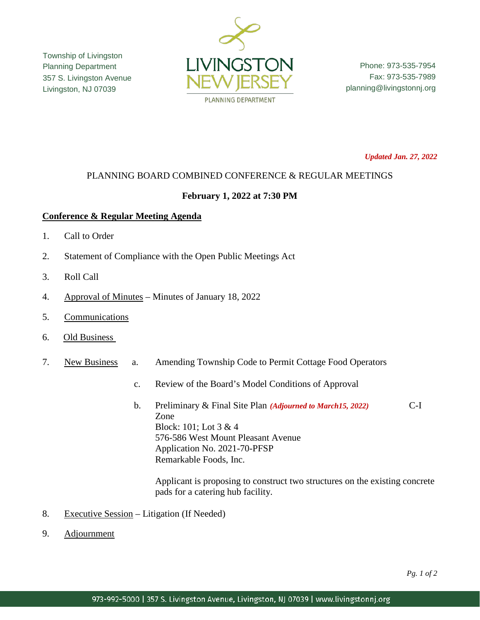Township of Livingston Planning Department 357 S. Livingston Avenue Livingston, NJ 07039



Phone: 973-535-7954 Fax: 973-535-7989 planning@livingstonnj.org

*Updated Jan. 27, 2022*

## PLANNING BOARD COMBINED CONFERENCE & REGULAR MEETINGS

## **February 1, 2022 at 7:30 PM**

## **Conference & Regular Meeting Agenda**

- 1. Call to Order
- 2. Statement of Compliance with the Open Public Meetings Act
- 3. Roll Call
- 4. Approval of Minutes Minutes of January 18, 2022
- 5. Communications
- 6. Old Business
- 7. New Business a. Amending Township Code to Permit Cottage Food Operators
	- c. Review of the Board's Model Conditions of Approval
	- b. Preliminary & Final Site Plan *(Adjourned to March15, 2022)* C-I Zone Block: 101; Lot 3 & 4 576-586 West Mount Pleasant Avenue Application No. 2021-70-PFSP Remarkable Foods, Inc.

Applicant is proposing to construct two structures on the existing concrete pads for a catering hub facility.

- 8. Executive Session Litigation (If Needed)
- 9. Adjournment